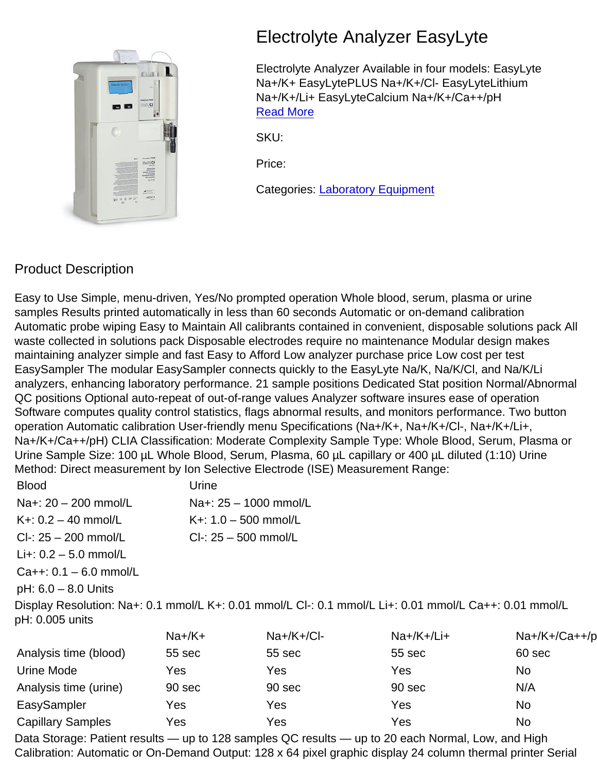## Electrolyte Analyzer EasyLyte

Electrolyte Analyzer Available in four models: EasyLyte Na+/K+ EasyLytePLUS Na+/K+/Cl- EasyLyteLithium Na+/K+/Li+ EasyLyteCalcium Na+/K+/Ca++/pH [Read More](https://surgicophilippines.com/product/electrolyte-analyzer-easylyte/)

SKU:

Price:

Categories: [Laboratory Equipment](https://surgicophilippines.com/product-category/laboratory-equipment/)

## Product Description

Easy to Use Simple, menu-driven, Yes/No prompted operation Whole blood, serum, plasma or urine samples Results printed automatically in less than 60 seconds Automatic or on-demand calibration Automatic probe wiping Easy to Maintain All calibrants contained in convenient, disposable solutions pack All waste collected in solutions pack Disposable electrodes require no maintenance Modular design makes maintaining analyzer simple and fast Easy to Afford Low analyzer purchase price Low cost per test EasySampler The modular EasySampler connects quickly to the EasyLyte Na/K, Na/K/Cl, and Na/K/Li analyzers, enhancing laboratory performance. 21 sample positions Dedicated Stat position Normal/Abnormal QC positions Optional auto-repeat of out-of-range values Analyzer software insures ease of operation Software computes quality control statistics, flags abnormal results, and monitors performance. Two button operation Automatic calibration User-friendly menu Specifications (Na+/K+, Na+/K+/Cl-, Na+/K+/Li+, Na+/K+/Ca++/pH) CLIA Classification: Moderate Complexity Sample Type: Whole Blood, Serum, Plasma or Urine Sample Size: 100 µL Whole Blood, Serum, Plasma, 60 µL capillary or 400 µL diluted (1:10) Urine Method: Direct measurement by Ion Selective Electrode (ISE) Measurement Range:

| <b>Blood</b>             | Urine                  |
|--------------------------|------------------------|
| Na+: $20 - 200$ mmol/L   | Na+: 25 - 1000 mmol/L  |
| K+: $0.2 - 40$ mmol/L    | K+: $1.0 - 500$ mmol/L |
| $Cl - 25 - 200$ mmol/L   | $Cl - 25 - 500$ mmol/L |
| Li+: $0.2 - 5.0$ mmol/L  |                        |
| $Ca++: 0.1 - 6.0$ mmol/L |                        |

pH: 6.0 – 8.0 Units

Display Resolution: Na+: 0.1 mmol/L K+: 0.01 mmol/L Cl-: 0.1 mmol/L Li+: 0.01 mmol/L Ca++: 0.01 mmol/L pH: 0.005 units

|                          | $Na+/K+$ | $Na+/K+/Cl-$ | $Na+/K+/Li+$ | $Na+/K+/Ca++/p$ |
|--------------------------|----------|--------------|--------------|-----------------|
| Analysis time (blood)    | 55 sec   | 55 sec       | 55 sec       | 60 sec          |
| Urine Mode               | Yes      | Yes          | Yes          | No              |
| Analysis time (urine)    | 90 sec   | 90 sec       | 90 sec       | N/A             |
| EasySampler              | Yes      | Yes          | Yes          | No              |
| <b>Capillary Samples</b> | Yes      | Yes          | Yes          | No              |

Data Storage: Patient results — up to 128 samples QC results — up to 20 each Normal, Low, and High Calibration: Automatic or On-Demand Output: 128 x 64 pixel graphic display 24 column thermal printer Serial